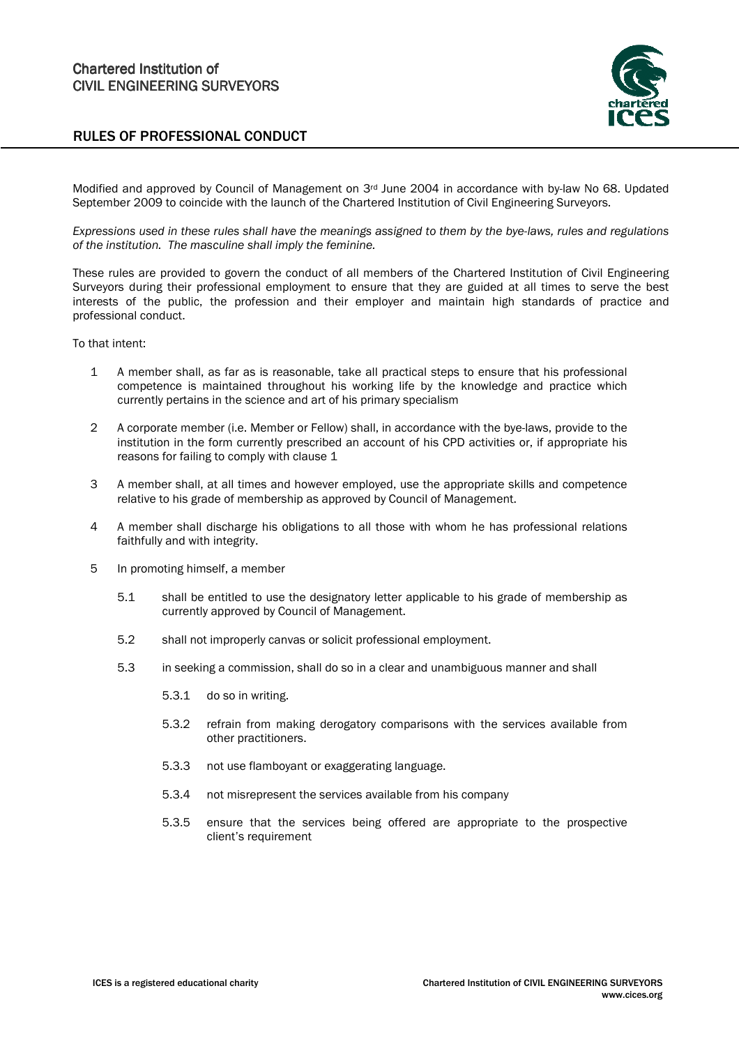



Modified and approved by Council of Management on 3rd June 2004 in accordance with by-law No 68. Updated September 2009 to coincide with the launch of the Chartered Institution of Civil Engineering Surveyors.

Expressions used in these rules shall have the meanings assigned to them by the bye-laws, rules and regulations of the institution. The masculine shall imply the feminine.

These rules are provided to govern the conduct of all members of the Chartered Institution of Civil Engineering Surveyors during their professional employment to ensure that they are guided at all times to serve the best interests of the public, the profession and their employer and maintain high standards of practice and professional conduct.

To that intent:

- 1 A member shall, as far as is reasonable, take all practical steps to ensure that his professional competence is maintained throughout his working life by the knowledge and practice which currently pertains in the science and art of his primary specialism
- 2 A corporate member (i.e. Member or Fellow) shall, in accordance with the bye-laws, provide to the institution in the form currently prescribed an account of his CPD activities or, if appropriate his reasons for failing to comply with clause 1
- 3 A member shall, at all times and however employed, use the appropriate skills and competence relative to his grade of membership as approved by Council of Management.
- 4 A member shall discharge his obligations to all those with whom he has professional relations faithfully and with integrity.
- 5 In promoting himself, a member
	- 5.1 shall be entitled to use the designatory letter applicable to his grade of membership as currently approved by Council of Management.
	- 5.2 shall not improperly canvas or solicit professional employment.
	- 5.3 in seeking a commission, shall do so in a clear and unambiguous manner and shall
		- 5.3.1 do so in writing.
		- 5.3.2 refrain from making derogatory comparisons with the services available from other practitioners.
		- 5.3.3 not use flamboyant or exaggerating language.
		- 5.3.4 not misrepresent the services available from his company
		- 5.3.5 ensure that the services being offered are appropriate to the prospective client's requirement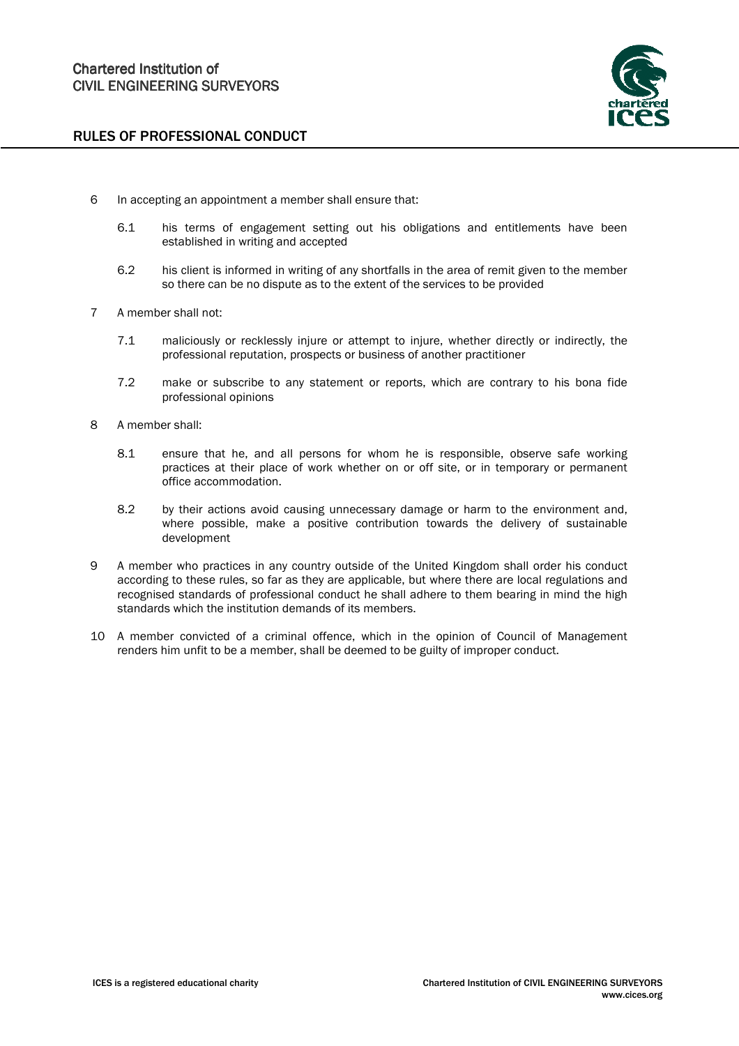

- 6 In accepting an appointment a member shall ensure that:
	- 6.1 his terms of engagement setting out his obligations and entitlements have been established in writing and accepted
	- 6.2 his client is informed in writing of any shortfalls in the area of remit given to the member so there can be no dispute as to the extent of the services to be provided
- 7 A member shall not:
	- 7.1 maliciously or recklessly injure or attempt to injure, whether directly or indirectly, the professional reputation, prospects or business of another practitioner
	- 7.2 make or subscribe to any statement or reports, which are contrary to his bona fide professional opinions
- 8 A member shall:
	- 8.1 ensure that he, and all persons for whom he is responsible, observe safe working practices at their place of work whether on or off site, or in temporary or permanent office accommodation.
	- 8.2 by their actions avoid causing unnecessary damage or harm to the environment and, where possible, make a positive contribution towards the delivery of sustainable development
- 9 A member who practices in any country outside of the United Kingdom shall order his conduct according to these rules, so far as they are applicable, but where there are local regulations and recognised standards of professional conduct he shall adhere to them bearing in mind the high standards which the institution demands of its members.
- 10 A member convicted of a criminal offence, which in the opinion of Council of Management renders him unfit to be a member, shall be deemed to be guilty of improper conduct.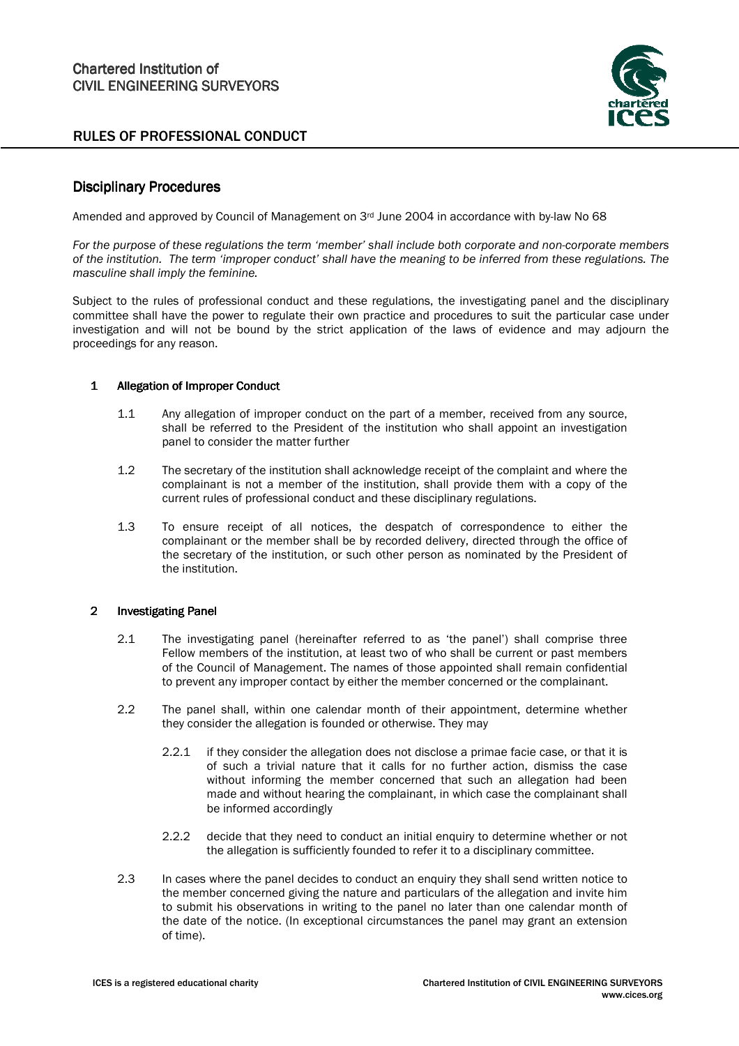

# **Disciplinary Procedures**

Amended and approved by Council of Management on 3<sup>rd</sup> June 2004 in accordance with by-law No 68

For the purpose of these regulations the term 'member' shall include both corporate and non-corporate members of the institution. The term 'improper conduct' shall have the meaning to be inferred from these regulations. The masculine shall imply the feminine.

Subject to the rules of professional conduct and these regulations, the investigating panel and the disciplinary committee shall have the power to regulate their own practice and procedures to suit the particular case under investigation and will not be bound by the strict application of the laws of evidence and may adjourn the proceedings for any reason.

### 1 Allegation of Improper Conduct

- 1.1 Any allegation of improper conduct on the part of a member, received from any source, shall be referred to the President of the institution who shall appoint an investigation panel to consider the matter further
- 1.2 The secretary of the institution shall acknowledge receipt of the complaint and where the complainant is not a member of the institution, shall provide them with a copy of the current rules of professional conduct and these disciplinary regulations.
- 1.3 To ensure receipt of all notices, the despatch of correspondence to either the complainant or the member shall be by recorded delivery, directed through the office of the secretary of the institution, or such other person as nominated by the President of the institution.

### 2 Investigating Panel

- 2.1 The investigating panel (hereinafter referred to as 'the panel') shall comprise three Fellow members of the institution, at least two of who shall be current or past members of the Council of Management. The names of those appointed shall remain confidential to prevent any improper contact by either the member concerned or the complainant.
- 2.2 The panel shall, within one calendar month of their appointment, determine whether they consider the allegation is founded or otherwise. They may
	- 2.2.1 if they consider the allegation does not disclose a primae facie case, or that it is of such a trivial nature that it calls for no further action, dismiss the case without informing the member concerned that such an allegation had been made and without hearing the complainant, in which case the complainant shall be informed accordingly
	- 2.2.2 decide that they need to conduct an initial enquiry to determine whether or not the allegation is sufficiently founded to refer it to a disciplinary committee.
- 2.3 In cases where the panel decides to conduct an enquiry they shall send written notice to the member concerned giving the nature and particulars of the allegation and invite him to submit his observations in writing to the panel no later than one calendar month of the date of the notice. (In exceptional circumstances the panel may grant an extension of time).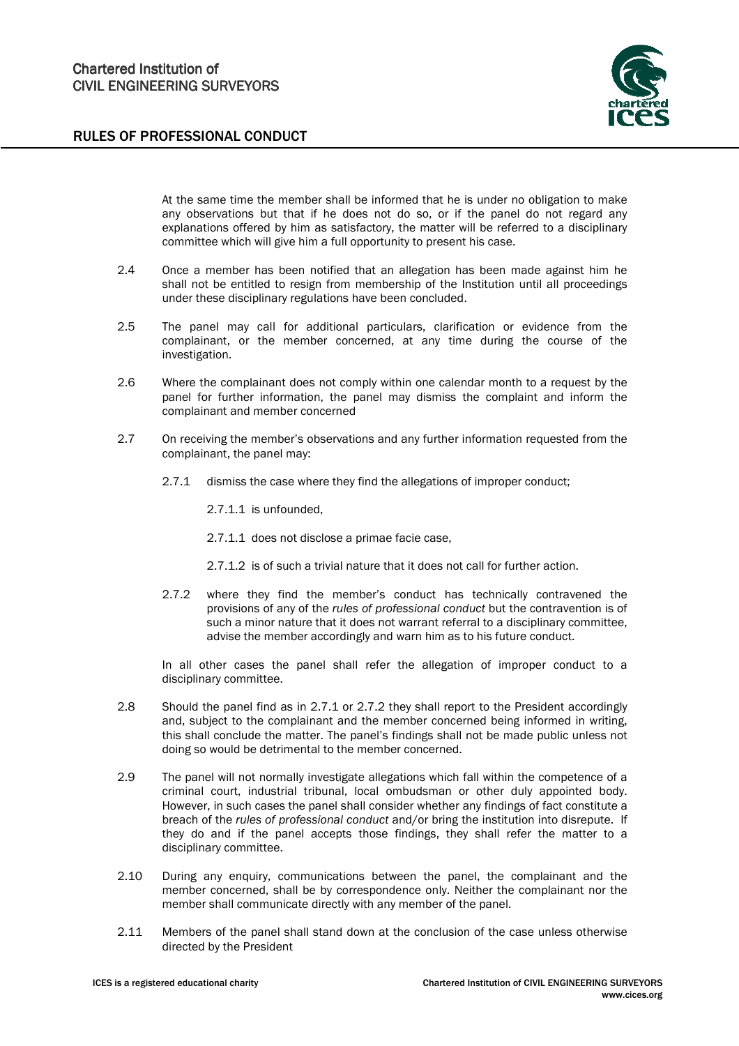

 At the same time the member shall be informed that he is under no obligation to make any observations but that if he does not do so, or if the panel do not regard any explanations offered by him as satisfactory, the matter will be referred to a disciplinary committee which will give him a full opportunity to present his case.

- 2.4 Once a member has been notified that an allegation has been made against him he shall not be entitled to resign from membership of the Institution until all proceedings under these disciplinary regulations have been concluded.
- 2.5 The panel may call for additional particulars, clarification or evidence from the complainant, or the member concerned, at any time during the course of the investigation.
- 2.6 Where the complainant does not comply within one calendar month to a request by the panel for further information, the panel may dismiss the complaint and inform the complainant and member concerned
- 2.7 On receiving the member's observations and any further information requested from the complainant, the panel may:
	- 2.7.1 dismiss the case where they find the allegations of improper conduct;
		- 2.7.1.1 is unfounded,
		- 2.7.1.1 does not disclose a primae facie case,
		- 2.7.1.2 is of such a trivial nature that it does not call for further action.
	- 2.7.2 where they find the member's conduct has technically contravened the provisions of any of the rules of professional conduct but the contravention is of such a minor nature that it does not warrant referral to a disciplinary committee, advise the member accordingly and warn him as to his future conduct.

In all other cases the panel shall refer the allegation of improper conduct to a disciplinary committee.

- 2.8 Should the panel find as in 2.7.1 or 2.7.2 they shall report to the President accordingly and, subject to the complainant and the member concerned being informed in writing, this shall conclude the matter. The panel's findings shall not be made public unless not doing so would be detrimental to the member concerned.
- 2.9 The panel will not normally investigate allegations which fall within the competence of a criminal court, industrial tribunal, local ombudsman or other duly appointed body. However, in such cases the panel shall consider whether any findings of fact constitute a breach of the rules of professional conduct and/or bring the institution into disrepute. If they do and if the panel accepts those findings, they shall refer the matter to a disciplinary committee.
- 2.10 During any enquiry, communications between the panel, the complainant and the member concerned, shall be by correspondence only. Neither the complainant nor the member shall communicate directly with any member of the panel.
- 2.11 Members of the panel shall stand down at the conclusion of the case unless otherwise directed by the President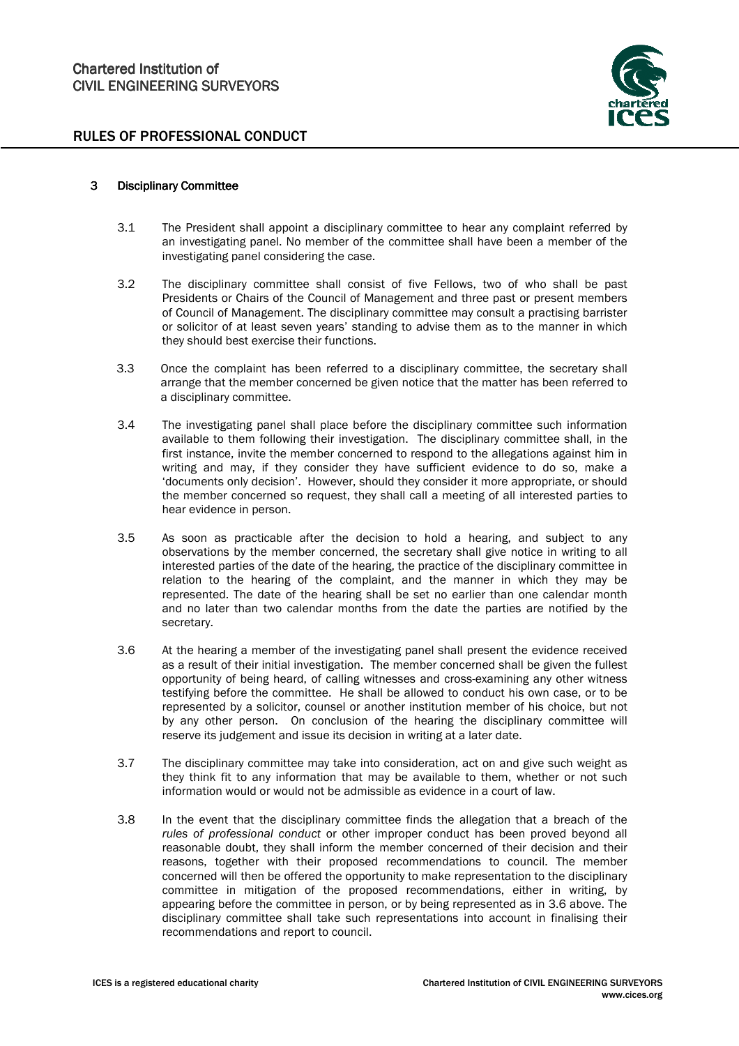

#### 3 Disciplinary Committee

- 3.1 The President shall appoint a disciplinary committee to hear any complaint referred by an investigating panel. No member of the committee shall have been a member of the investigating panel considering the case.
- 3.2 The disciplinary committee shall consist of five Fellows, two of who shall be past Presidents or Chairs of the Council of Management and three past or present members of Council of Management. The disciplinary committee may consult a practising barrister or solicitor of at least seven years' standing to advise them as to the manner in which they should best exercise their functions.
- 3.3 Once the complaint has been referred to a disciplinary committee, the secretary shall arrange that the member concerned be given notice that the matter has been referred to a disciplinary committee.
- 3.4 The investigating panel shall place before the disciplinary committee such information available to them following their investigation. The disciplinary committee shall, in the first instance, invite the member concerned to respond to the allegations against him in writing and may, if they consider they have sufficient evidence to do so, make a 'documents only decision'. However, should they consider it more appropriate, or should the member concerned so request, they shall call a meeting of all interested parties to hear evidence in person.
- 3.5 As soon as practicable after the decision to hold a hearing, and subject to any observations by the member concerned, the secretary shall give notice in writing to all interested parties of the date of the hearing, the practice of the disciplinary committee in relation to the hearing of the complaint, and the manner in which they may be represented. The date of the hearing shall be set no earlier than one calendar month and no later than two calendar months from the date the parties are notified by the secretary.
- 3.6 At the hearing a member of the investigating panel shall present the evidence received as a result of their initial investigation. The member concerned shall be given the fullest opportunity of being heard, of calling witnesses and cross-examining any other witness testifying before the committee. He shall be allowed to conduct his own case, or to be represented by a solicitor, counsel or another institution member of his choice, but not by any other person. On conclusion of the hearing the disciplinary committee will reserve its judgement and issue its decision in writing at a later date.
- 3.7 The disciplinary committee may take into consideration, act on and give such weight as they think fit to any information that may be available to them, whether or not such information would or would not be admissible as evidence in a court of law.
- 3.8 In the event that the disciplinary committee finds the allegation that a breach of the rules of professional conduct or other improper conduct has been proved beyond all reasonable doubt, they shall inform the member concerned of their decision and their reasons, together with their proposed recommendations to council. The member concerned will then be offered the opportunity to make representation to the disciplinary committee in mitigation of the proposed recommendations, either in writing, by appearing before the committee in person, or by being represented as in 3.6 above. The disciplinary committee shall take such representations into account in finalising their recommendations and report to council.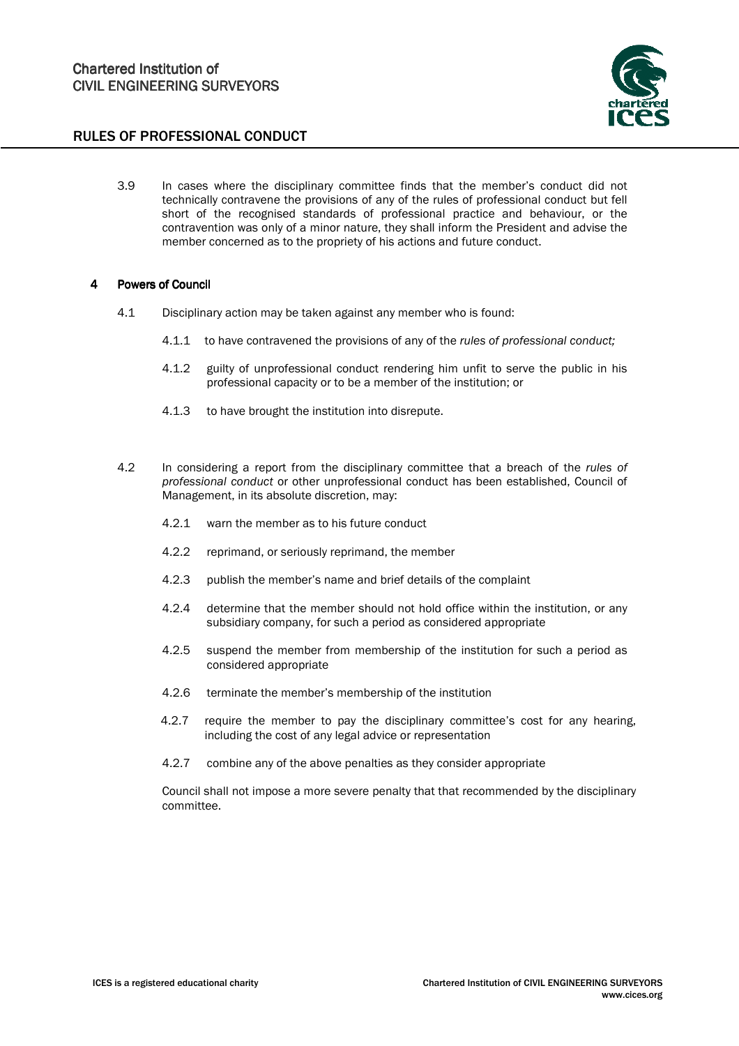

3.9 In cases where the disciplinary committee finds that the member's conduct did not technically contravene the provisions of any of the rules of professional conduct but fell short of the recognised standards of professional practice and behaviour, or the contravention was only of a minor nature, they shall inform the President and advise the member concerned as to the propriety of his actions and future conduct.

#### 4 Powers of Council

- 4.1 Disciplinary action may be taken against any member who is found:
	- 4.1.1 to have contravened the provisions of any of the rules of professional conduct;
	- 4.1.2 guilty of unprofessional conduct rendering him unfit to serve the public in his professional capacity or to be a member of the institution; or
	- 4.1.3 to have brought the institution into disrepute.
- 4.2 In considering a report from the disciplinary committee that a breach of the rules of professional conduct or other unprofessional conduct has been established, Council of Management, in its absolute discretion, may:
	- 4.2.1 warn the member as to his future conduct
	- 4.2.2 reprimand, or seriously reprimand, the member
	- 4.2.3 publish the member's name and brief details of the complaint
	- 4.2.4 determine that the member should not hold office within the institution, or any subsidiary company, for such a period as considered appropriate
	- 4.2.5 suspend the member from membership of the institution for such a period as considered appropriate
	- 4.2.6 terminate the member's membership of the institution
	- 4.2.7 require the member to pay the disciplinary committee's cost for any hearing, including the cost of any legal advice or representation
	- 4.2.7 combine any of the above penalties as they consider appropriate

Council shall not impose a more severe penalty that that recommended by the disciplinary committee.